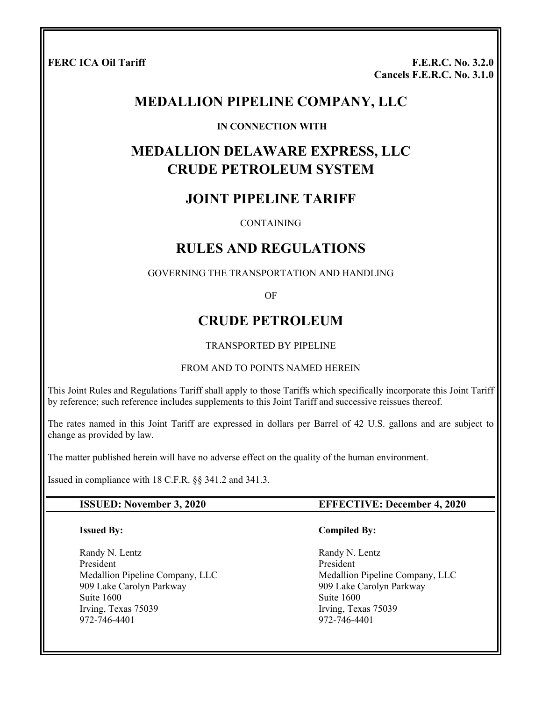**FERC ICA Oil Tariff F.E.R.C. No. 3.2.0 Cancels F.E.R.C. No. 3.1.0**

# **MEDALLION PIPELINE COMPANY, LLC**

#### **IN CONNECTION WITH**

# **MEDALLION DELAWARE EXPRESS, LLC CRUDE PETROLEUM SYSTEM**

# **JOINT PIPELINE TARIFF**

#### **CONTAINING**

# **RULES AND REGULATIONS**

#### GOVERNING THE TRANSPORTATION AND HANDLING

OF

# **CRUDE PETROLEUM**

#### TRANSPORTED BY PIPELINE

#### FROM AND TO POINTS NAMED HEREIN

This Joint Rules and Regulations Tariff shall apply to those Tariffs which specifically incorporate this Joint Tariff by reference; such reference includes supplements to this Joint Tariff and successive reissues thereof.

The rates named in this Joint Tariff are expressed in dollars per Barrel of 42 U.S. gallons and are subject to change as provided by law.

The matter published herein will have no adverse effect on the quality of the human environment.

Issued in compliance with 18 C.F.R. §§ 341.2 and 341.3.

#### **Issued By:**

Randy N. Lentz President Medallion Pipeline Company, LLC 909 Lake Carolyn Parkway Suite 1600 Irving, Texas 75039 972-746-4401

#### **ISSUED: November 3, 2020 EFFECTIVE: December 4, 2020**

#### **Compiled By:**

 Randy N. Lentz President Medallion Pipeline Company, LLC 909 Lake Carolyn Parkway Suite 1600 Irving, Texas 75039 972-746-4401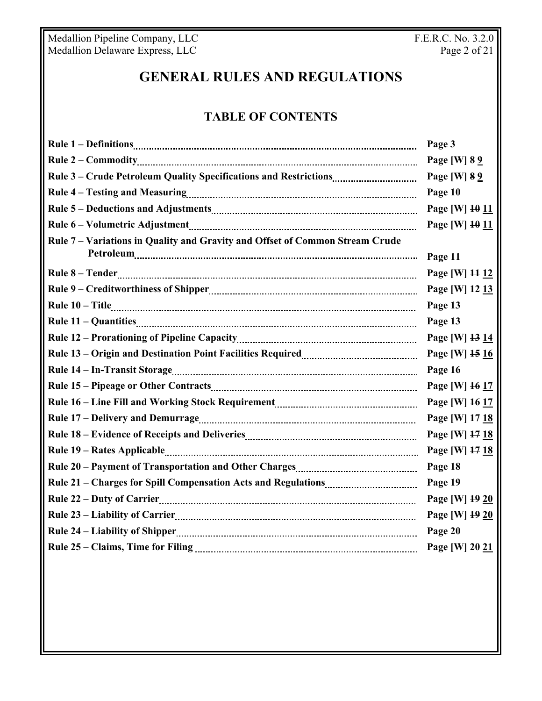Medallion Pipeline Company, LLC **F.E.R.C. No. 3.2.0** Medallion Delaware Express, LLC **Page 2 of 21** 

# **GENERAL RULES AND REGULATIONS**

# **TABLE OF CONTENTS**

| Page 3         |
|----------------|
| Page [W] 8 9   |
| Page [W] 8 9   |
| Page 10        |
| Page [W] 10 11 |
| Page [W] 10 11 |
| Page 11        |
|                |
| Page [W] 11 12 |
| Page [W] 12 13 |
| Page 13        |
| Page 13        |
| Page [W] 13 14 |
| Page [W] 15 16 |
| Page 16        |
| Page [W] 16 17 |
| Page [W] 16 17 |
| Page [W] 17 18 |
| Page [W] 17 18 |
| Page [W] 17 18 |
| Page 18        |
| Page 19        |
| Page [W] 19 20 |
| Page [W] 19 20 |
| Page 20        |
| Page [W] 20 21 |
|                |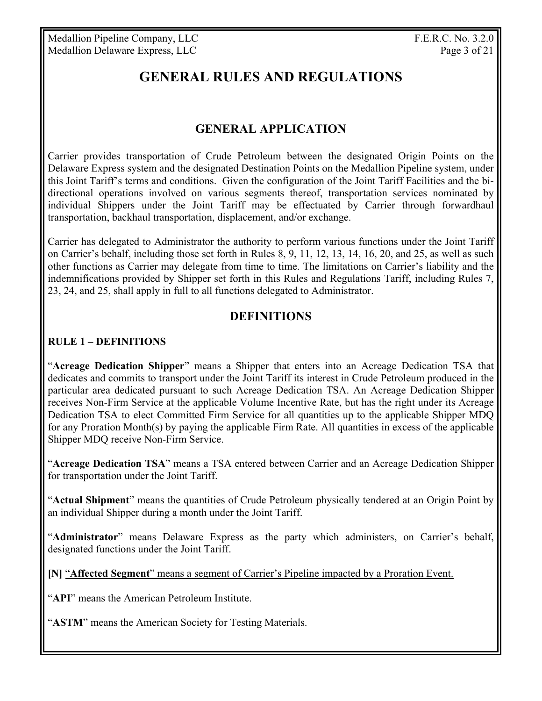# **GENERAL RULES AND REGULATIONS**

# **GENERAL APPLICATION**

Carrier provides transportation of Crude Petroleum between the designated Origin Points on the Delaware Express system and the designated Destination Points on the Medallion Pipeline system, under this Joint Tariff's terms and conditions. Given the configuration of the Joint Tariff Facilities and the bidirectional operations involved on various segments thereof, transportation services nominated by individual Shippers under the Joint Tariff may be effectuated by Carrier through forwardhaul transportation, backhaul transportation, displacement, and/or exchange.

Carrier has delegated to Administrator the authority to perform various functions under the Joint Tariff on Carrier's behalf, including those set forth in Rules 8, 9, 11, 12, 13, 14, 16, 20, and 25, as well as such other functions as Carrier may delegate from time to time. The limitations on Carrier's liability and the indemnifications provided by Shipper set forth in this Rules and Regulations Tariff, including Rules 7, 23, 24, and 25, shall apply in full to all functions delegated to Administrator.

## **DEFINITIONS**

#### **RULE 1 – DEFINITIONS**

"**Acreage Dedication Shipper**" means a Shipper that enters into an Acreage Dedication TSA that dedicates and commits to transport under the Joint Tariff its interest in Crude Petroleum produced in the particular area dedicated pursuant to such Acreage Dedication TSA. An Acreage Dedication Shipper receives Non-Firm Service at the applicable Volume Incentive Rate, but has the right under its Acreage Dedication TSA to elect Committed Firm Service for all quantities up to the applicable Shipper MDQ for any Proration Month(s) by paying the applicable Firm Rate. All quantities in excess of the applicable Shipper MDQ receive Non-Firm Service.

"**Acreage Dedication TSA**" means a TSA entered between Carrier and an Acreage Dedication Shipper for transportation under the Joint Tariff.

"**Actual Shipment**" means the quantities of Crude Petroleum physically tendered at an Origin Point by an individual Shipper during a month under the Joint Tariff.

"**Administrator**" means Delaware Express as the party which administers, on Carrier's behalf, designated functions under the Joint Tariff.

**[N]** "**Affected Segment**" means a segment of Carrier's Pipeline impacted by a Proration Event.

"**API**" means the American Petroleum Institute.

"**ASTM**" means the American Society for Testing Materials.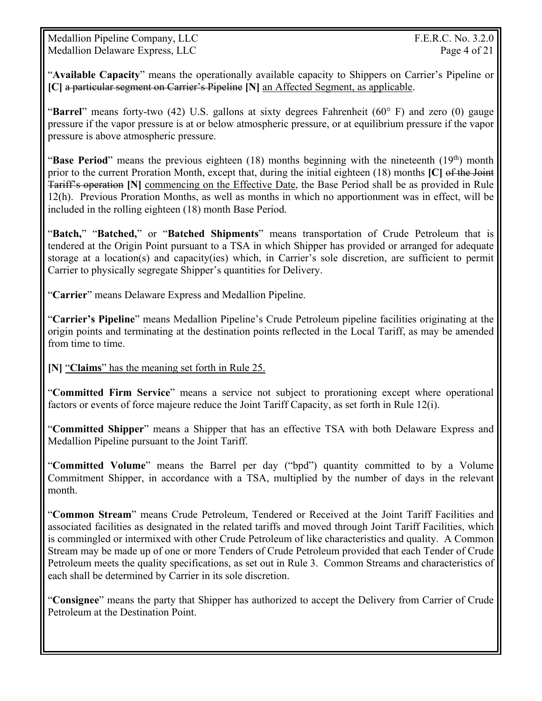Medallion Pipeline Company, LLC F.E.R.C. No. 3.2.0 Medallion Delaware Express, LLC Page 4 of 21

"**Available Capacity**" means the operationally available capacity to Shippers on Carrier's Pipeline or **[C]** a particular segment on Carrier's Pipeline **[N]** an Affected Segment, as applicable.

"**Barrel**" means forty-two (42) U.S. gallons at sixty degrees Fahrenheit (60° F) and zero (0) gauge pressure if the vapor pressure is at or below atmospheric pressure, or at equilibrium pressure if the vapor pressure is above atmospheric pressure.

"**Base Period**" means the previous eighteen (18) months beginning with the nineteenth (19<sup>th</sup>) month prior to the current Proration Month, except that, during the initial eighteen (18) months **[C]** of the Joint Tariff's operation **[N]** commencing on the Effective Date, the Base Period shall be as provided in Rule 12(h). Previous Proration Months, as well as months in which no apportionment was in effect, will be included in the rolling eighteen (18) month Base Period.

"**Batch,**" "**Batched,**" or "**Batched Shipments**" means transportation of Crude Petroleum that is tendered at the Origin Point pursuant to a TSA in which Shipper has provided or arranged for adequate storage at a location(s) and capacity(ies) which, in Carrier's sole discretion, are sufficient to permit Carrier to physically segregate Shipper's quantities for Delivery.

"**Carrier**" means Delaware Express and Medallion Pipeline.

"**Carrier's Pipeline**" means Medallion Pipeline's Crude Petroleum pipeline facilities originating at the origin points and terminating at the destination points reflected in the Local Tariff, as may be amended from time to time.

**[N]** "**Claims**" has the meaning set forth in Rule 25.

"**Committed Firm Service**" means a service not subject to prorationing except where operational factors or events of force majeure reduce the Joint Tariff Capacity, as set forth in Rule 12(i).

"**Committed Shipper**" means a Shipper that has an effective TSA with both Delaware Express and Medallion Pipeline pursuant to the Joint Tariff.

"**Committed Volume**" means the Barrel per day ("bpd") quantity committed to by a Volume Commitment Shipper, in accordance with a TSA, multiplied by the number of days in the relevant month.

"**Common Stream**" means Crude Petroleum, Tendered or Received at the Joint Tariff Facilities and associated facilities as designated in the related tariffs and moved through Joint Tariff Facilities, which is commingled or intermixed with other Crude Petroleum of like characteristics and quality. A Common Stream may be made up of one or more Tenders of Crude Petroleum provided that each Tender of Crude Petroleum meets the quality specifications, as set out in Rule 3. Common Streams and characteristics of each shall be determined by Carrier in its sole discretion.

"**Consignee**" means the party that Shipper has authorized to accept the Delivery from Carrier of Crude Petroleum at the Destination Point.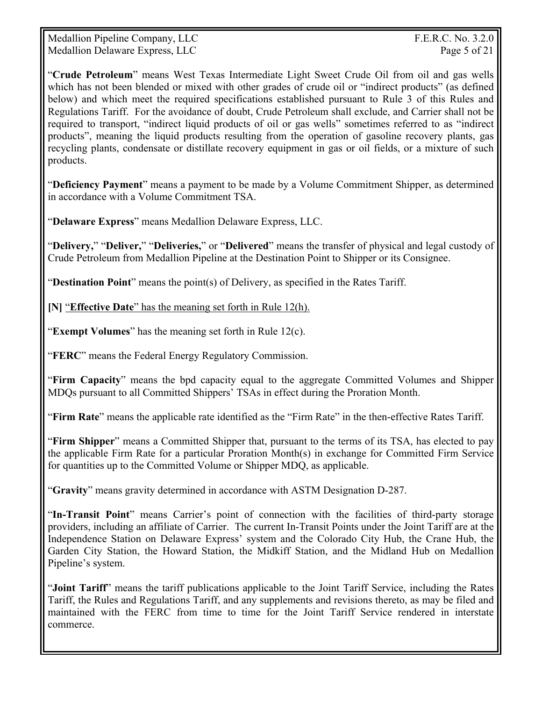Medallion Pipeline Company, LLC F.E.R.C. No. 3.2.0 Medallion Delaware Express, LLC Page 5 of 21

"**Crude Petroleum**" means West Texas Intermediate Light Sweet Crude Oil from oil and gas wells which has not been blended or mixed with other grades of crude oil or "indirect products" (as defined below) and which meet the required specifications established pursuant to Rule 3 of this Rules and Regulations Tariff. For the avoidance of doubt, Crude Petroleum shall exclude, and Carrier shall not be required to transport, "indirect liquid products of oil or gas wells" sometimes referred to as "indirect products", meaning the liquid products resulting from the operation of gasoline recovery plants, gas recycling plants, condensate or distillate recovery equipment in gas or oil fields, or a mixture of such products.

"**Deficiency Payment**" means a payment to be made by a Volume Commitment Shipper, as determined in accordance with a Volume Commitment TSA.

"**Delaware Express**" means Medallion Delaware Express, LLC.

"**Delivery,**" "**Deliver,**" "**Deliveries,**" or "**Delivered**" means the transfer of physical and legal custody of Crude Petroleum from Medallion Pipeline at the Destination Point to Shipper or its Consignee.

"**Destination Point**" means the point(s) of Delivery, as specified in the Rates Tariff.

**[N]** "**Effective Date**" has the meaning set forth in Rule 12(h).

"**Exempt Volumes**" has the meaning set forth in Rule 12(c).

"**FERC**" means the Federal Energy Regulatory Commission.

"**Firm Capacity**" means the bpd capacity equal to the aggregate Committed Volumes and Shipper MDQs pursuant to all Committed Shippers' TSAs in effect during the Proration Month.

"**Firm Rate**" means the applicable rate identified as the "Firm Rate" in the then-effective Rates Tariff.

"**Firm Shipper**" means a Committed Shipper that, pursuant to the terms of its TSA, has elected to pay the applicable Firm Rate for a particular Proration Month(s) in exchange for Committed Firm Service for quantities up to the Committed Volume or Shipper MDQ, as applicable.

"**Gravity**" means gravity determined in accordance with ASTM Designation D-287.

"**In-Transit Point**" means Carrier's point of connection with the facilities of third-party storage providers, including an affiliate of Carrier. The current In-Transit Points under the Joint Tariff are at the Independence Station on Delaware Express' system and the Colorado City Hub, the Crane Hub, the Garden City Station, the Howard Station, the Midkiff Station, and the Midland Hub on Medallion Pipeline's system.

"**Joint Tariff**" means the tariff publications applicable to the Joint Tariff Service, including the Rates Tariff, the Rules and Regulations Tariff, and any supplements and revisions thereto, as may be filed and maintained with the FERC from time to time for the Joint Tariff Service rendered in interstate commerce.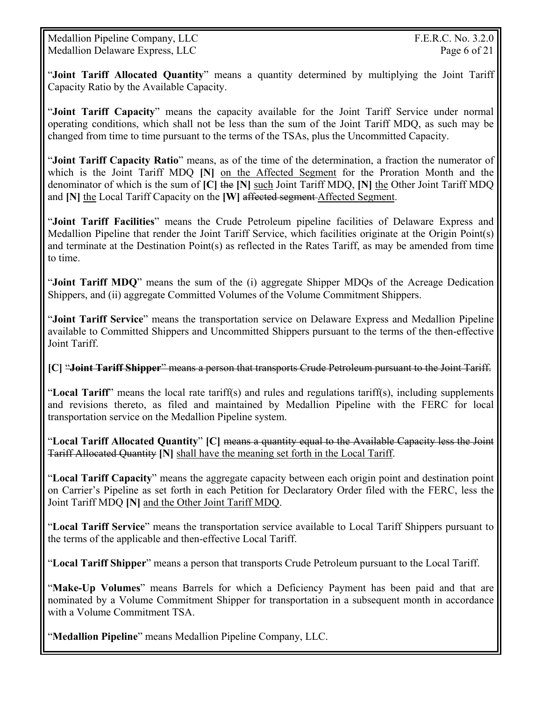Medallion Pipeline Company, LLC F.E.R.C. No. 3.2.0 Medallion Delaware Express, LLC Page 6 of 21

"**Joint Tariff Allocated Quantity**" means a quantity determined by multiplying the Joint Tariff Capacity Ratio by the Available Capacity.

"**Joint Tariff Capacity**" means the capacity available for the Joint Tariff Service under normal operating conditions, which shall not be less than the sum of the Joint Tariff MDQ, as such may be changed from time to time pursuant to the terms of the TSAs, plus the Uncommitted Capacity.

"**Joint Tariff Capacity Ratio**" means, as of the time of the determination, a fraction the numerator of which is the Joint Tariff MDQ **[N]** on the Affected Segment for the Proration Month and the denominator of which is the sum of **[C]** the **[N]** such Joint Tariff MDQ, **[N]** the Other Joint Tariff MDQ and **[N]** the Local Tariff Capacity on the **[W]** affected segment Affected Segment.

"**Joint Tariff Facilities**" means the Crude Petroleum pipeline facilities of Delaware Express and Medallion Pipeline that render the Joint Tariff Service, which facilities originate at the Origin Point(s) and terminate at the Destination Point(s) as reflected in the Rates Tariff, as may be amended from time to time.

"**Joint Tariff MDQ**" means the sum of the (i) aggregate Shipper MDQs of the Acreage Dedication Shippers, and (ii) aggregate Committed Volumes of the Volume Commitment Shippers.

"**Joint Tariff Service**" means the transportation service on Delaware Express and Medallion Pipeline available to Committed Shippers and Uncommitted Shippers pursuant to the terms of the then-effective Joint Tariff.

**[C]** "**Joint Tariff Shipper**" means a person that transports Crude Petroleum pursuant to the Joint Tariff.

"**Local Tariff**" means the local rate tariff(s) and rules and regulations tariff(s), including supplements and revisions thereto, as filed and maintained by Medallion Pipeline with the FERC for local transportation service on the Medallion Pipeline system.

"**Local Tariff Allocated Quantity**" **[C]** means a quantity equal to the Available Capacity less the Joint Tariff Allocated Quantity **[N]** shall have the meaning set forth in the Local Tariff.

"**Local Tariff Capacity**" means the aggregate capacity between each origin point and destination point on Carrier's Pipeline as set forth in each Petition for Declaratory Order filed with the FERC, less the Joint Tariff MDQ **[N]** and the Other Joint Tariff MDQ.

"**Local Tariff Service**" means the transportation service available to Local Tariff Shippers pursuant to the terms of the applicable and then-effective Local Tariff.

"**Local Tariff Shipper**" means a person that transports Crude Petroleum pursuant to the Local Tariff.

"**Make-Up Volumes**" means Barrels for which a Deficiency Payment has been paid and that are nominated by a Volume Commitment Shipper for transportation in a subsequent month in accordance with a Volume Commitment TSA.

"**Medallion Pipeline**" means Medallion Pipeline Company, LLC.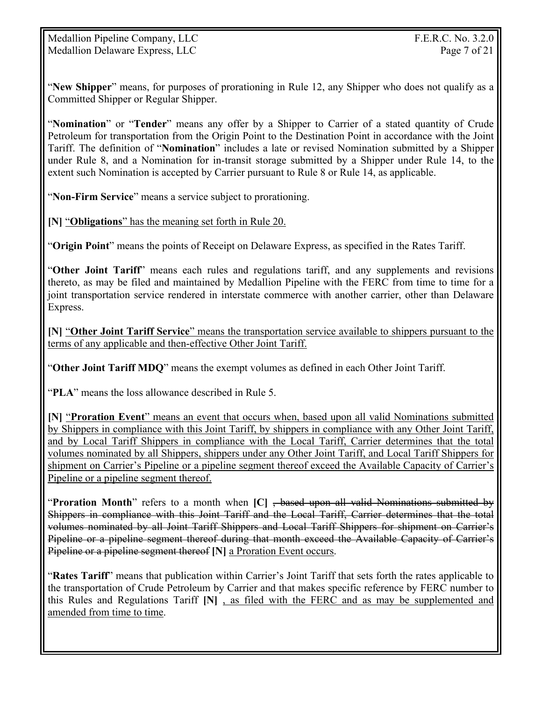"**New Shipper**" means, for purposes of prorationing in Rule 12, any Shipper who does not qualify as a Committed Shipper or Regular Shipper.

"**Nomination**" or "**Tender**" means any offer by a Shipper to Carrier of a stated quantity of Crude Petroleum for transportation from the Origin Point to the Destination Point in accordance with the Joint Tariff. The definition of "**Nomination**" includes a late or revised Nomination submitted by a Shipper under Rule 8, and a Nomination for in-transit storage submitted by a Shipper under Rule 14, to the extent such Nomination is accepted by Carrier pursuant to Rule 8 or Rule 14, as applicable.

"**Non-Firm Service**" means a service subject to prorationing.

**[N]** "**Obligations**" has the meaning set forth in Rule 20.

"**Origin Point**" means the points of Receipt on Delaware Express, as specified in the Rates Tariff.

"**Other Joint Tariff**" means each rules and regulations tariff, and any supplements and revisions thereto, as may be filed and maintained by Medallion Pipeline with the FERC from time to time for a joint transportation service rendered in interstate commerce with another carrier, other than Delaware Express.

**[N]** "**Other Joint Tariff Service**" means the transportation service available to shippers pursuant to the terms of any applicable and then-effective Other Joint Tariff.

"**Other Joint Tariff MDQ**" means the exempt volumes as defined in each Other Joint Tariff.

"**PLA**" means the loss allowance described in Rule 5.

**[N]** "**Proration Event**" means an event that occurs when, based upon all valid Nominations submitted by Shippers in compliance with this Joint Tariff, by shippers in compliance with any Other Joint Tariff, and by Local Tariff Shippers in compliance with the Local Tariff, Carrier determines that the total volumes nominated by all Shippers, shippers under any Other Joint Tariff, and Local Tariff Shippers for shipment on Carrier's Pipeline or a pipeline segment thereof exceed the Available Capacity of Carrier's Pipeline or a pipeline segment thereof.

"**Proration Month**" refers to a month when **[C]** , based upon all valid Nominations submitted by Shippers in compliance with this Joint Tariff and the Local Tariff, Carrier determines that the total volumes nominated by all Joint Tariff Shippers and Local Tariff Shippers for shipment on Carrier's Pipeline or a pipeline segment thereof during that month exceed the Available Capacity of Carrier's Pipeline or a pipeline segment thereof **[N]** a Proration Event occurs.

"**Rates Tariff**" means that publication within Carrier's Joint Tariff that sets forth the rates applicable to the transportation of Crude Petroleum by Carrier and that makes specific reference by FERC number to this Rules and Regulations Tariff **[N]** , as filed with the FERC and as may be supplemented and amended from time to time.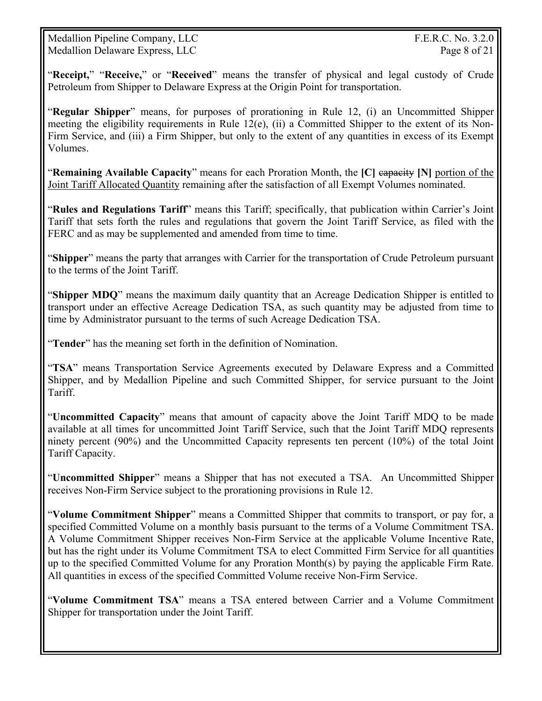Medallion Pipeline Company, LLC F.E.R.C. No. 3.2.0 Medallion Delaware Express, LLC Page 8 of 21

"**Receipt,**" "**Receive,**" or "**Received**" means the transfer of physical and legal custody of Crude Petroleum from Shipper to Delaware Express at the Origin Point for transportation.

"**Regular Shipper**" means, for purposes of prorationing in Rule 12, (i) an Uncommitted Shipper meeting the eligibility requirements in Rule 12(e), (ii) a Committed Shipper to the extent of its Non-Firm Service, and (iii) a Firm Shipper, but only to the extent of any quantities in excess of its Exempt Volumes.

"**Remaining Available Capacity**" means for each Proration Month, the **[C]** capacity **[N]** portion of the Joint Tariff Allocated Quantity remaining after the satisfaction of all Exempt Volumes nominated.

"**Rules and Regulations Tariff**" means this Tariff; specifically, that publication within Carrier's Joint Tariff that sets forth the rules and regulations that govern the Joint Tariff Service, as filed with the FERC and as may be supplemented and amended from time to time.

"**Shipper**" means the party that arranges with Carrier for the transportation of Crude Petroleum pursuant to the terms of the Joint Tariff.

"**Shipper MDQ**" means the maximum daily quantity that an Acreage Dedication Shipper is entitled to transport under an effective Acreage Dedication TSA, as such quantity may be adjusted from time to time by Administrator pursuant to the terms of such Acreage Dedication TSA.

"**Tender**" has the meaning set forth in the definition of Nomination.

"**TSA**" means Transportation Service Agreements executed by Delaware Express and a Committed Shipper, and by Medallion Pipeline and such Committed Shipper, for service pursuant to the Joint Tariff.

"**Uncommitted Capacity**" means that amount of capacity above the Joint Tariff MDQ to be made available at all times for uncommitted Joint Tariff Service, such that the Joint Tariff MDQ represents ninety percent (90%) and the Uncommitted Capacity represents ten percent (10%) of the total Joint Tariff Capacity.

"**Uncommitted Shipper**" means a Shipper that has not executed a TSA. An Uncommitted Shipper receives Non-Firm Service subject to the prorationing provisions in Rule 12.

"**Volume Commitment Shipper**" means a Committed Shipper that commits to transport, or pay for, a specified Committed Volume on a monthly basis pursuant to the terms of a Volume Commitment TSA. A Volume Commitment Shipper receives Non-Firm Service at the applicable Volume Incentive Rate, but has the right under its Volume Commitment TSA to elect Committed Firm Service for all quantities up to the specified Committed Volume for any Proration Month(s) by paying the applicable Firm Rate. All quantities in excess of the specified Committed Volume receive Non-Firm Service.

"**Volume Commitment TSA**" means a TSA entered between Carrier and a Volume Commitment Shipper for transportation under the Joint Tariff.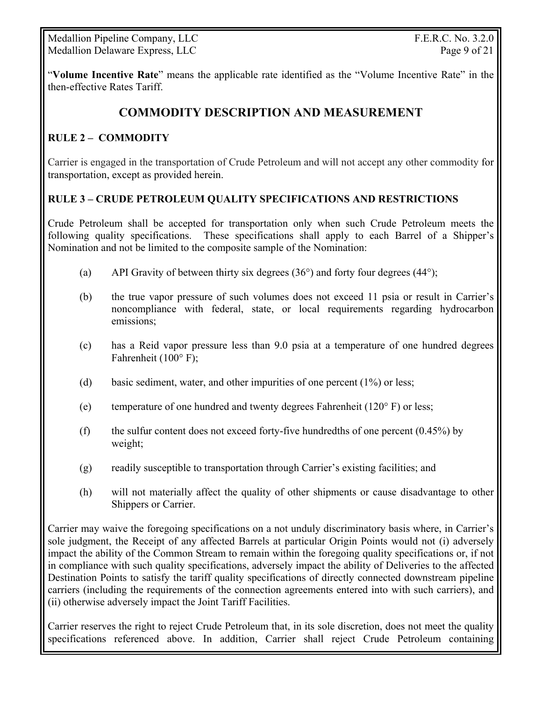Medallion Pipeline Company, LLC F.E.R.C. No. 3.2.0 Medallion Delaware Express, LLC Page 9 of 21

"**Volume Incentive Rate**" means the applicable rate identified as the "Volume Incentive Rate" in the then-effective Rates Tariff.

# **COMMODITY DESCRIPTION AND MEASUREMENT**

#### **RULE 2 – COMMODITY**

Carrier is engaged in the transportation of Crude Petroleum and will not accept any other commodity for transportation, except as provided herein.

#### **RULE 3 – CRUDE PETROLEUM QUALITY SPECIFICATIONS AND RESTRICTIONS**

Crude Petroleum shall be accepted for transportation only when such Crude Petroleum meets the following quality specifications. These specifications shall apply to each Barrel of a Shipper's Nomination and not be limited to the composite sample of the Nomination:

- (a) API Gravity of between thirty six degrees  $(36^{\circ})$  and forty four degrees  $(44^{\circ})$ ;
- (b) the true vapor pressure of such volumes does not exceed 11 psia or result in Carrier's noncompliance with federal, state, or local requirements regarding hydrocarbon emissions;
- (c) has a Reid vapor pressure less than 9.0 psia at a temperature of one hundred degrees Fahrenheit (100° F);
- (d) basic sediment, water, and other impurities of one percent (1%) or less;
- (e) temperature of one hundred and twenty degrees Fahrenheit ( $120^\circ$  F) or less;
- (f) the sulfur content does not exceed forty-five hundredths of one percent  $(0.45\%)$  by weight;
- (g) readily susceptible to transportation through Carrier's existing facilities; and
- (h) will not materially affect the quality of other shipments or cause disadvantage to other Shippers or Carrier.

Carrier may waive the foregoing specifications on a not unduly discriminatory basis where, in Carrier's sole judgment, the Receipt of any affected Barrels at particular Origin Points would not (i) adversely impact the ability of the Common Stream to remain within the foregoing quality specifications or, if not in compliance with such quality specifications, adversely impact the ability of Deliveries to the affected Destination Points to satisfy the tariff quality specifications of directly connected downstream pipeline carriers (including the requirements of the connection agreements entered into with such carriers), and (ii) otherwise adversely impact the Joint Tariff Facilities.

Carrier reserves the right to reject Crude Petroleum that, in its sole discretion, does not meet the quality specifications referenced above. In addition, Carrier shall reject Crude Petroleum containing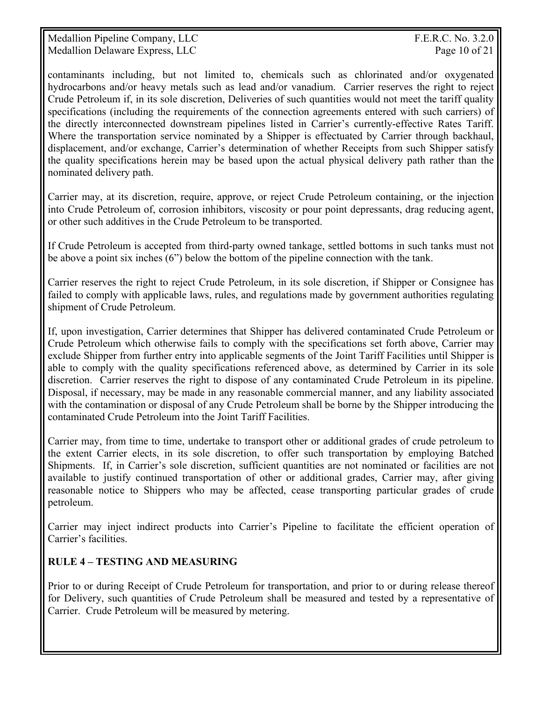Medallion Pipeline Company, LLC F.E.R.C. No. 3.2.0 Medallion Delaware Express, LLC Page 10 of 21

contaminants including, but not limited to, chemicals such as chlorinated and/or oxygenated hydrocarbons and/or heavy metals such as lead and/or vanadium. Carrier reserves the right to reject Crude Petroleum if, in its sole discretion, Deliveries of such quantities would not meet the tariff quality specifications (including the requirements of the connection agreements entered with such carriers) of the directly interconnected downstream pipelines listed in Carrier's currently-effective Rates Tariff. Where the transportation service nominated by a Shipper is effectuated by Carrier through backhaul, displacement, and/or exchange, Carrier's determination of whether Receipts from such Shipper satisfy the quality specifications herein may be based upon the actual physical delivery path rather than the nominated delivery path.

Carrier may, at its discretion, require, approve, or reject Crude Petroleum containing, or the injection into Crude Petroleum of, corrosion inhibitors, viscosity or pour point depressants, drag reducing agent, or other such additives in the Crude Petroleum to be transported.

If Crude Petroleum is accepted from third-party owned tankage, settled bottoms in such tanks must not be above a point six inches (6") below the bottom of the pipeline connection with the tank.

Carrier reserves the right to reject Crude Petroleum, in its sole discretion, if Shipper or Consignee has failed to comply with applicable laws, rules, and regulations made by government authorities regulating shipment of Crude Petroleum.

If, upon investigation, Carrier determines that Shipper has delivered contaminated Crude Petroleum or Crude Petroleum which otherwise fails to comply with the specifications set forth above, Carrier may exclude Shipper from further entry into applicable segments of the Joint Tariff Facilities until Shipper is able to comply with the quality specifications referenced above, as determined by Carrier in its sole discretion. Carrier reserves the right to dispose of any contaminated Crude Petroleum in its pipeline. Disposal, if necessary, may be made in any reasonable commercial manner, and any liability associated with the contamination or disposal of any Crude Petroleum shall be borne by the Shipper introducing the contaminated Crude Petroleum into the Joint Tariff Facilities.

Carrier may, from time to time, undertake to transport other or additional grades of crude petroleum to the extent Carrier elects, in its sole discretion, to offer such transportation by employing Batched Shipments. If, in Carrier's sole discretion, sufficient quantities are not nominated or facilities are not available to justify continued transportation of other or additional grades, Carrier may, after giving reasonable notice to Shippers who may be affected, cease transporting particular grades of crude petroleum.

Carrier may inject indirect products into Carrier's Pipeline to facilitate the efficient operation of Carrier's facilities.

#### **RULE 4 – TESTING AND MEASURING**

Prior to or during Receipt of Crude Petroleum for transportation, and prior to or during release thereof for Delivery, such quantities of Crude Petroleum shall be measured and tested by a representative of Carrier. Crude Petroleum will be measured by metering.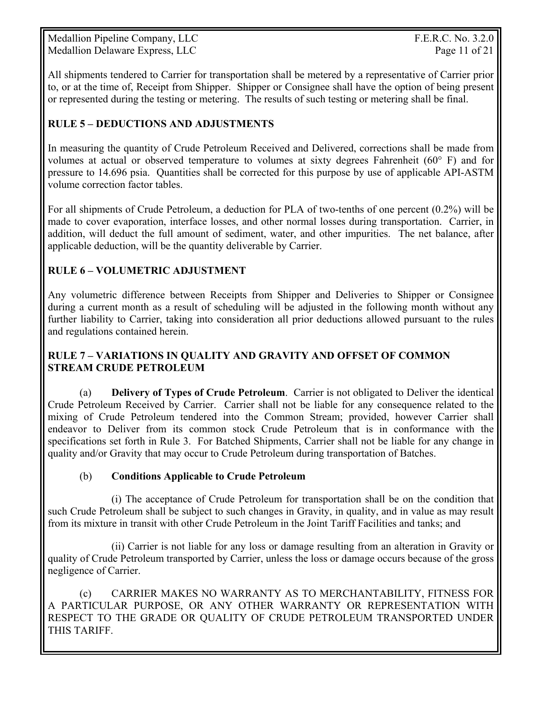Medallion Pipeline Company, LLC F.E.R.C. No. 3.2.0 Medallion Delaware Express, LLC Page 11 of 21

All shipments tendered to Carrier for transportation shall be metered by a representative of Carrier prior to, or at the time of, Receipt from Shipper. Shipper or Consignee shall have the option of being present or represented during the testing or metering. The results of such testing or metering shall be final.

#### **RULE 5 – DEDUCTIONS AND ADJUSTMENTS**

In measuring the quantity of Crude Petroleum Received and Delivered, corrections shall be made from volumes at actual or observed temperature to volumes at sixty degrees Fahrenheit (60° F) and for pressure to 14.696 psia. Quantities shall be corrected for this purpose by use of applicable API-ASTM volume correction factor tables.

For all shipments of Crude Petroleum, a deduction for PLA of two-tenths of one percent (0.2%) will be made to cover evaporation, interface losses, and other normal losses during transportation. Carrier, in addition, will deduct the full amount of sediment, water, and other impurities. The net balance, after applicable deduction, will be the quantity deliverable by Carrier.

#### **RULE 6 – VOLUMETRIC ADJUSTMENT**

Any volumetric difference between Receipts from Shipper and Deliveries to Shipper or Consignee during a current month as a result of scheduling will be adjusted in the following month without any further liability to Carrier, taking into consideration all prior deductions allowed pursuant to the rules and regulations contained herein.

#### **RULE 7 – VARIATIONS IN QUALITY AND GRAVITY AND OFFSET OF COMMON STREAM CRUDE PETROLEUM**

(a) **Delivery of Types of Crude Petroleum**. Carrier is not obligated to Deliver the identical Crude Petroleum Received by Carrier. Carrier shall not be liable for any consequence related to the mixing of Crude Petroleum tendered into the Common Stream; provided, however Carrier shall endeavor to Deliver from its common stock Crude Petroleum that is in conformance with the specifications set forth in Rule 3. For Batched Shipments, Carrier shall not be liable for any change in quality and/or Gravity that may occur to Crude Petroleum during transportation of Batches.

#### (b) **Conditions Applicable to Crude Petroleum**

 (i) The acceptance of Crude Petroleum for transportation shall be on the condition that such Crude Petroleum shall be subject to such changes in Gravity, in quality, and in value as may result from its mixture in transit with other Crude Petroleum in the Joint Tariff Facilities and tanks; and

 (ii) Carrier is not liable for any loss or damage resulting from an alteration in Gravity or quality of Crude Petroleum transported by Carrier, unless the loss or damage occurs because of the gross negligence of Carrier.

 (c) CARRIER MAKES NO WARRANTY AS TO MERCHANTABILITY, FITNESS FOR A PARTICULAR PURPOSE, OR ANY OTHER WARRANTY OR REPRESENTATION WITH RESPECT TO THE GRADE OR QUALITY OF CRUDE PETROLEUM TRANSPORTED UNDER THIS TARIFF.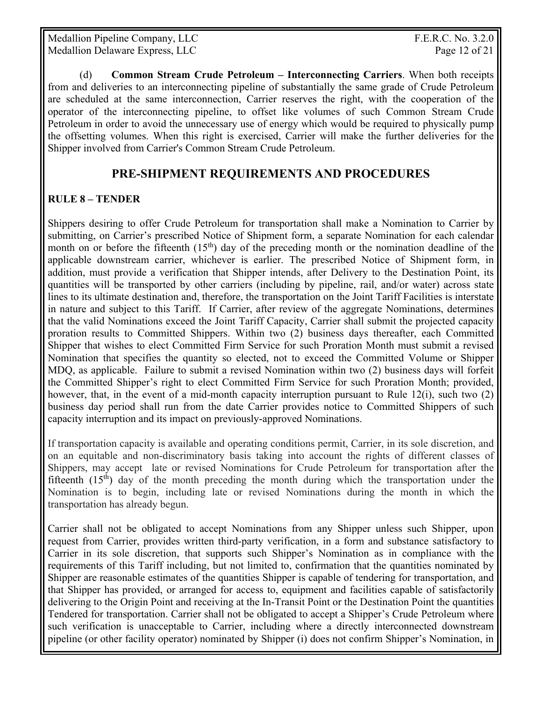Medallion Pipeline Company, LLC F.E.R.C. No. 3.2.0 Medallion Delaware Express, LLC and the contract of the Page 12 of 21 and Page 12 of 21

 (d) **Common Stream Crude Petroleum – Interconnecting Carriers**. When both receipts from and deliveries to an interconnecting pipeline of substantially the same grade of Crude Petroleum are scheduled at the same interconnection, Carrier reserves the right, with the cooperation of the operator of the interconnecting pipeline, to offset like volumes of such Common Stream Crude Petroleum in order to avoid the unnecessary use of energy which would be required to physically pump the offsetting volumes. When this right is exercised, Carrier will make the further deliveries for the Shipper involved from Carrier's Common Stream Crude Petroleum.

#### **PRE-SHIPMENT REQUIREMENTS AND PROCEDURES**

#### **RULE 8 – TENDER**

Shippers desiring to offer Crude Petroleum for transportation shall make a Nomination to Carrier by submitting, on Carrier's prescribed Notice of Shipment form, a separate Nomination for each calendar month on or before the fifteenth  $(15<sup>th</sup>)$  day of the preceding month or the nomination deadline of the applicable downstream carrier, whichever is earlier. The prescribed Notice of Shipment form, in addition, must provide a verification that Shipper intends, after Delivery to the Destination Point, its quantities will be transported by other carriers (including by pipeline, rail, and/or water) across state lines to its ultimate destination and, therefore, the transportation on the Joint Tariff Facilities is interstate in nature and subject to this Tariff. If Carrier, after review of the aggregate Nominations, determines that the valid Nominations exceed the Joint Tariff Capacity, Carrier shall submit the projected capacity proration results to Committed Shippers. Within two (2) business days thereafter, each Committed Shipper that wishes to elect Committed Firm Service for such Proration Month must submit a revised Nomination that specifies the quantity so elected, not to exceed the Committed Volume or Shipper MDQ, as applicable. Failure to submit a revised Nomination within two (2) business days will forfeit the Committed Shipper's right to elect Committed Firm Service for such Proration Month; provided, however, that, in the event of a mid-month capacity interruption pursuant to Rule 12(i), such two (2) business day period shall run from the date Carrier provides notice to Committed Shippers of such capacity interruption and its impact on previously-approved Nominations.

If transportation capacity is available and operating conditions permit, Carrier, in its sole discretion, and on an equitable and non-discriminatory basis taking into account the rights of different classes of Shippers, may accept late or revised Nominations for Crude Petroleum for transportation after the fifteenth  $(15<sup>th</sup>)$  day of the month preceding the month during which the transportation under the Nomination is to begin, including late or revised Nominations during the month in which the transportation has already begun.

Carrier shall not be obligated to accept Nominations from any Shipper unless such Shipper, upon request from Carrier, provides written third-party verification, in a form and substance satisfactory to Carrier in its sole discretion, that supports such Shipper's Nomination as in compliance with the requirements of this Tariff including, but not limited to, confirmation that the quantities nominated by Shipper are reasonable estimates of the quantities Shipper is capable of tendering for transportation, and that Shipper has provided, or arranged for access to, equipment and facilities capable of satisfactorily delivering to the Origin Point and receiving at the In-Transit Point or the Destination Point the quantities Tendered for transportation. Carrier shall not be obligated to accept a Shipper's Crude Petroleum where such verification is unacceptable to Carrier, including where a directly interconnected downstream pipeline (or other facility operator) nominated by Shipper (i) does not confirm Shipper's Nomination, in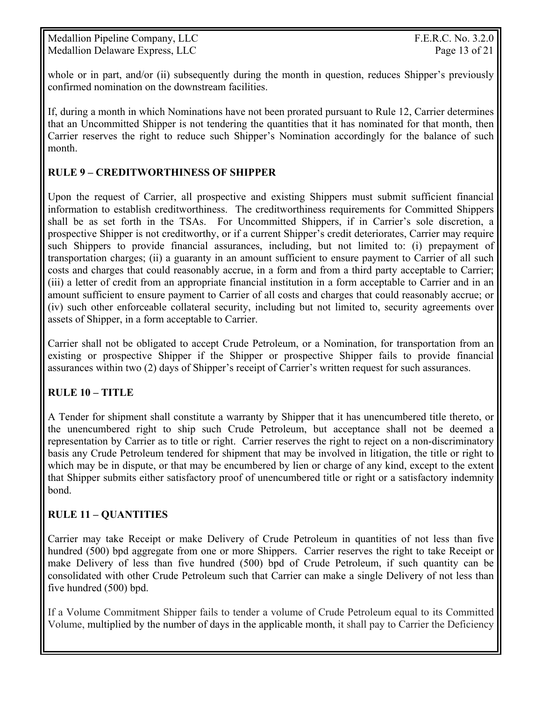whole or in part, and/or (ii) subsequently during the month in question, reduces Shipper's previously confirmed nomination on the downstream facilities.

If, during a month in which Nominations have not been prorated pursuant to Rule 12, Carrier determines that an Uncommitted Shipper is not tendering the quantities that it has nominated for that month, then Carrier reserves the right to reduce such Shipper's Nomination accordingly for the balance of such month.

## **RULE 9 – CREDITWORTHINESS OF SHIPPER**

Upon the request of Carrier, all prospective and existing Shippers must submit sufficient financial information to establish creditworthiness. The creditworthiness requirements for Committed Shippers shall be as set forth in the TSAs. For Uncommitted Shippers, if in Carrier's sole discretion, a prospective Shipper is not creditworthy, or if a current Shipper's credit deteriorates, Carrier may require such Shippers to provide financial assurances, including, but not limited to: (i) prepayment of transportation charges; (ii) a guaranty in an amount sufficient to ensure payment to Carrier of all such costs and charges that could reasonably accrue, in a form and from a third party acceptable to Carrier; (iii) a letter of credit from an appropriate financial institution in a form acceptable to Carrier and in an amount sufficient to ensure payment to Carrier of all costs and charges that could reasonably accrue; or (iv) such other enforceable collateral security, including but not limited to, security agreements over assets of Shipper, in a form acceptable to Carrier.

Carrier shall not be obligated to accept Crude Petroleum, or a Nomination, for transportation from an existing or prospective Shipper if the Shipper or prospective Shipper fails to provide financial assurances within two (2) days of Shipper's receipt of Carrier's written request for such assurances.

## **RULE 10 – TITLE**

A Tender for shipment shall constitute a warranty by Shipper that it has unencumbered title thereto, or the unencumbered right to ship such Crude Petroleum, but acceptance shall not be deemed a representation by Carrier as to title or right. Carrier reserves the right to reject on a non-discriminatory basis any Crude Petroleum tendered for shipment that may be involved in litigation, the title or right to which may be in dispute, or that may be encumbered by lien or charge of any kind, except to the extent that Shipper submits either satisfactory proof of unencumbered title or right or a satisfactory indemnity bond.

#### **RULE 11 – QUANTITIES**

Carrier may take Receipt or make Delivery of Crude Petroleum in quantities of not less than five hundred (500) bpd aggregate from one or more Shippers. Carrier reserves the right to take Receipt or make Delivery of less than five hundred (500) bpd of Crude Petroleum, if such quantity can be consolidated with other Crude Petroleum such that Carrier can make a single Delivery of not less than five hundred (500) bpd.

If a Volume Commitment Shipper fails to tender a volume of Crude Petroleum equal to its Committed Volume, multiplied by the number of days in the applicable month, it shall pay to Carrier the Deficiency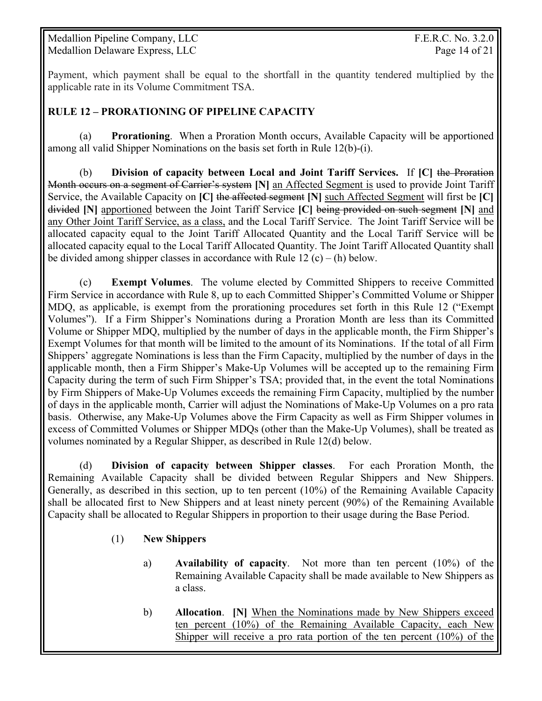Medallion Pipeline Company, LLC F.E.R.C. No. 3.2.0 Medallion Delaware Express, LLC Page 14 of 21

Payment, which payment shall be equal to the shortfall in the quantity tendered multiplied by the applicable rate in its Volume Commitment TSA.

#### **RULE 12 – PRORATIONING OF PIPELINE CAPACITY**

 (a) **Prorationing**. When a Proration Month occurs, Available Capacity will be apportioned among all valid Shipper Nominations on the basis set forth in Rule 12(b)-(i).

 (b) **Division of capacity between Local and Joint Tariff Services.** If **[C]** the Proration Month occurs on a segment of Carrier's system **[N]** an Affected Segment is used to provide Joint Tariff Service, the Available Capacity on **[C]** the affected segment **[N]** such Affected Segment will first be **[C]** divided **[N]** apportioned between the Joint Tariff Service **[C]** being provided on such segment **[N]** and any Other Joint Tariff Service, as a class, and the Local Tariff Service. The Joint Tariff Service will be allocated capacity equal to the Joint Tariff Allocated Quantity and the Local Tariff Service will be allocated capacity equal to the Local Tariff Allocated Quantity. The Joint Tariff Allocated Quantity shall be divided among shipper classes in accordance with Rule  $12(c) - (h)$  below.

 (c) **Exempt Volumes**. The volume elected by Committed Shippers to receive Committed Firm Service in accordance with Rule 8, up to each Committed Shipper's Committed Volume or Shipper MDQ, as applicable, is exempt from the prorationing procedures set forth in this Rule 12 ("Exempt Volumes"). If a Firm Shipper's Nominations during a Proration Month are less than its Committed Volume or Shipper MDQ, multiplied by the number of days in the applicable month, the Firm Shipper's Exempt Volumes for that month will be limited to the amount of its Nominations. If the total of all Firm Shippers' aggregate Nominations is less than the Firm Capacity, multiplied by the number of days in the applicable month, then a Firm Shipper's Make-Up Volumes will be accepted up to the remaining Firm Capacity during the term of such Firm Shipper's TSA; provided that, in the event the total Nominations by Firm Shippers of Make-Up Volumes exceeds the remaining Firm Capacity, multiplied by the number of days in the applicable month, Carrier will adjust the Nominations of Make-Up Volumes on a pro rata basis. Otherwise, any Make-Up Volumes above the Firm Capacity as well as Firm Shipper volumes in excess of Committed Volumes or Shipper MDQs (other than the Make-Up Volumes), shall be treated as volumes nominated by a Regular Shipper, as described in Rule 12(d) below.

(d) **Division of capacity between Shipper classes**. For each Proration Month, the Remaining Available Capacity shall be divided between Regular Shippers and New Shippers. Generally, as described in this section, up to ten percent (10%) of the Remaining Available Capacity shall be allocated first to New Shippers and at least ninety percent (90%) of the Remaining Available Capacity shall be allocated to Regular Shippers in proportion to their usage during the Base Period.

#### (1) **New Shippers**

- a) **Availability of capacity**. Not more than ten percent (10%) of the Remaining Available Capacity shall be made available to New Shippers as a class.
- b) **Allocation**. **[N]** When the Nominations made by New Shippers exceed ten percent (10%) of the Remaining Available Capacity, each New Shipper will receive a pro rata portion of the ten percent (10%) of the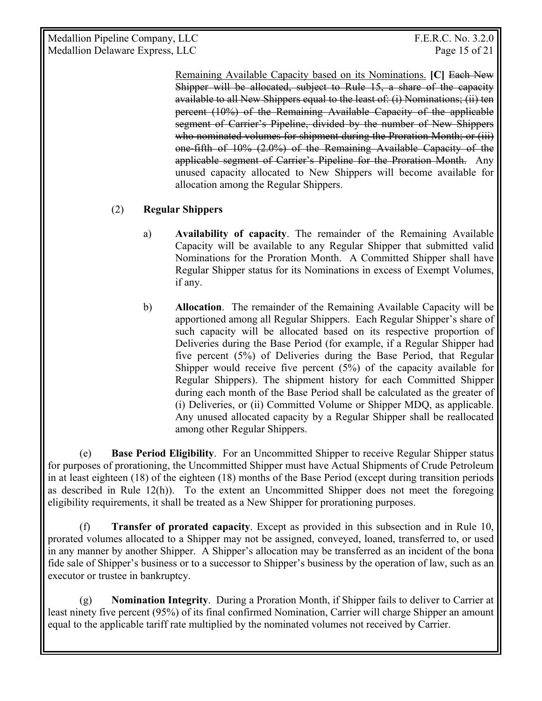Medallion Pipeline Company, LLC F.E.R.C. No. 3.2.0 Medallion Delaware Express, LLC and the contract of the Page 15 of 21

Remaining Available Capacity based on its Nominations. **[C]** Each New Shipper will be allocated, subject to Rule 15, a share of the capacity available to all New Shippers equal to the least of: (i) Nominations; (ii) ten percent (10%) of the Remaining Available Capacity of the applicable segment of Carrier's Pipeline, divided by the number of New Shippers who nominated volumes for shipment during the Proration Month; or (iii) one-fifth of 10% (2.0%) of the Remaining Available Capacity of the applicable segment of Carrier's Pipeline for the Proration Month. Any unused capacity allocated to New Shippers will become available for allocation among the Regular Shippers.

#### (2) **Regular Shippers**

- a) **Availability of capacity**. The remainder of the Remaining Available Capacity will be available to any Regular Shipper that submitted valid Nominations for the Proration Month. A Committed Shipper shall have Regular Shipper status for its Nominations in excess of Exempt Volumes, if any.
- b) **Allocation**. The remainder of the Remaining Available Capacity will be apportioned among all Regular Shippers. Each Regular Shipper's share of such capacity will be allocated based on its respective proportion of Deliveries during the Base Period (for example, if a Regular Shipper had five percent (5%) of Deliveries during the Base Period, that Regular Shipper would receive five percent  $(5%)$  of the capacity available for Regular Shippers). The shipment history for each Committed Shipper during each month of the Base Period shall be calculated as the greater of (i) Deliveries, or (ii) Committed Volume or Shipper MDQ, as applicable. Any unused allocated capacity by a Regular Shipper shall be reallocated among other Regular Shippers.

 (e) **Base Period Eligibility**. For an Uncommitted Shipper to receive Regular Shipper status for purposes of prorationing, the Uncommitted Shipper must have Actual Shipments of Crude Petroleum in at least eighteen (18) of the eighteen (18) months of the Base Period (except during transition periods as described in Rule 12(h)). To the extent an Uncommitted Shipper does not meet the foregoing eligibility requirements, it shall be treated as a New Shipper for prorationing purposes.

 (f) **Transfer of prorated capacity**. Except as provided in this subsection and in Rule 10, prorated volumes allocated to a Shipper may not be assigned, conveyed, loaned, transferred to, or used in any manner by another Shipper. A Shipper's allocation may be transferred as an incident of the bona fide sale of Shipper's business or to a successor to Shipper's business by the operation of law, such as an executor or trustee in bankruptcy.

 (g) **Nomination Integrity**. During a Proration Month, if Shipper fails to deliver to Carrier at least ninety five percent (95%) of its final confirmed Nomination, Carrier will charge Shipper an amount equal to the applicable tariff rate multiplied by the nominated volumes not received by Carrier.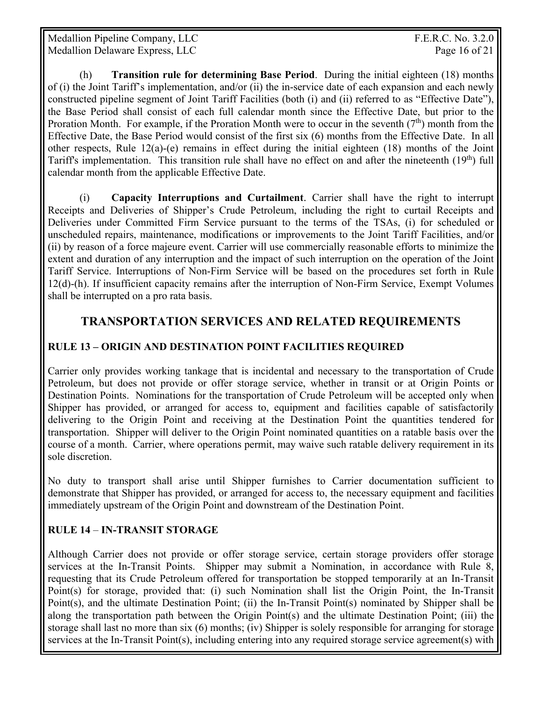Medallion Pipeline Company, LLC  $F.E.R.C. No. 3.2.0$ Medallion Delaware Express, LLC Page 16 of 21

(h) **Transition rule for determining Base Period**. During the initial eighteen (18) months of (i) the Joint Tariff's implementation, and/or (ii) the in-service date of each expansion and each newly constructed pipeline segment of Joint Tariff Facilities (both (i) and (ii) referred to as "Effective Date"), the Base Period shall consist of each full calendar month since the Effective Date, but prior to the Proration Month. For example, if the Proration Month were to occur in the seventh  $(7<sup>th</sup>)$  month from the Effective Date, the Base Period would consist of the first six (6) months from the Effective Date. In all other respects, Rule  $12(a)-(e)$  remains in effect during the initial eighteen (18) months of the Joint Tariff's implementation. This transition rule shall have no effect on and after the nineteenth  $(19<sup>th</sup>)$  full calendar month from the applicable Effective Date.

(i) **Capacity Interruptions and Curtailment**. Carrier shall have the right to interrupt Receipts and Deliveries of Shipper's Crude Petroleum, including the right to curtail Receipts and Deliveries under Committed Firm Service pursuant to the terms of the TSAs, (i) for scheduled or unscheduled repairs, maintenance, modifications or improvements to the Joint Tariff Facilities, and/or (ii) by reason of a force majeure event. Carrier will use commercially reasonable efforts to minimize the extent and duration of any interruption and the impact of such interruption on the operation of the Joint Tariff Service. Interruptions of Non-Firm Service will be based on the procedures set forth in Rule 12(d)-(h). If insufficient capacity remains after the interruption of Non-Firm Service, Exempt Volumes shall be interrupted on a pro rata basis.

# **TRANSPORTATION SERVICES AND RELATED REQUIREMENTS**

#### **RULE 13 – ORIGIN AND DESTINATION POINT FACILITIES REQUIRED**

Carrier only provides working tankage that is incidental and necessary to the transportation of Crude Petroleum, but does not provide or offer storage service, whether in transit or at Origin Points or Destination Points. Nominations for the transportation of Crude Petroleum will be accepted only when Shipper has provided, or arranged for access to, equipment and facilities capable of satisfactorily delivering to the Origin Point and receiving at the Destination Point the quantities tendered for transportation. Shipper will deliver to the Origin Point nominated quantities on a ratable basis over the course of a month. Carrier, where operations permit, may waive such ratable delivery requirement in its sole discretion.

No duty to transport shall arise until Shipper furnishes to Carrier documentation sufficient to demonstrate that Shipper has provided, or arranged for access to, the necessary equipment and facilities immediately upstream of the Origin Point and downstream of the Destination Point.

#### **RULE 14** – **IN-TRANSIT STORAGE**

Although Carrier does not provide or offer storage service, certain storage providers offer storage services at the In-Transit Points. Shipper may submit a Nomination, in accordance with Rule 8, requesting that its Crude Petroleum offered for transportation be stopped temporarily at an In-Transit Point(s) for storage, provided that: (i) such Nomination shall list the Origin Point, the In-Transit Point(s), and the ultimate Destination Point; (ii) the In-Transit Point(s) nominated by Shipper shall be along the transportation path between the Origin Point(s) and the ultimate Destination Point; (iii) the storage shall last no more than six (6) months; (iv) Shipper is solely responsible for arranging for storage services at the In-Transit Point(s), including entering into any required storage service agreement(s) with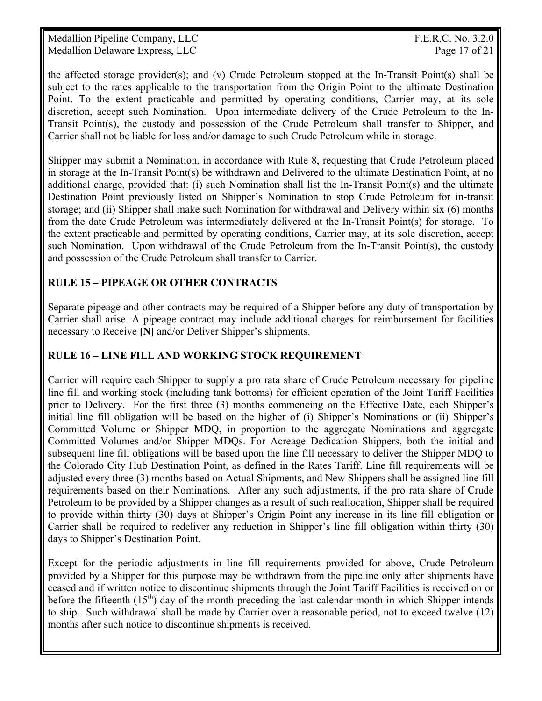Medallion Pipeline Company, LLC F.E.R.C. No. 3.2.0 Medallion Delaware Express, LLC and the contract of the Page 17 of 21

the affected storage provider(s); and (v) Crude Petroleum stopped at the In-Transit Point(s) shall be subject to the rates applicable to the transportation from the Origin Point to the ultimate Destination Point. To the extent practicable and permitted by operating conditions, Carrier may, at its sole discretion, accept such Nomination. Upon intermediate delivery of the Crude Petroleum to the In-Transit Point(s), the custody and possession of the Crude Petroleum shall transfer to Shipper, and Carrier shall not be liable for loss and/or damage to such Crude Petroleum while in storage.

Shipper may submit a Nomination, in accordance with Rule 8, requesting that Crude Petroleum placed in storage at the In-Transit Point(s) be withdrawn and Delivered to the ultimate Destination Point, at no additional charge, provided that: (i) such Nomination shall list the In-Transit Point(s) and the ultimate Destination Point previously listed on Shipper's Nomination to stop Crude Petroleum for in-transit storage; and (ii) Shipper shall make such Nomination for withdrawal and Delivery within six (6) months from the date Crude Petroleum was intermediately delivered at the In-Transit Point(s) for storage. To the extent practicable and permitted by operating conditions, Carrier may, at its sole discretion, accept such Nomination. Upon withdrawal of the Crude Petroleum from the In-Transit Point(s), the custody and possession of the Crude Petroleum shall transfer to Carrier.

#### **RULE 15** *–* **PIPEAGE OR OTHER CONTRACTS**

Separate pipeage and other contracts may be required of a Shipper before any duty of transportation by Carrier shall arise. A pipeage contract may include additional charges for reimbursement for facilities necessary to Receive **[N]** and/or Deliver Shipper's shipments.

#### **RULE 16 – LINE FILL AND WORKING STOCK REQUIREMENT**

Carrier will require each Shipper to supply a pro rata share of Crude Petroleum necessary for pipeline line fill and working stock (including tank bottoms) for efficient operation of the Joint Tariff Facilities prior to Delivery. For the first three (3) months commencing on the Effective Date, each Shipper's initial line fill obligation will be based on the higher of (i) Shipper's Nominations or (ii) Shipper's Committed Volume or Shipper MDQ, in proportion to the aggregate Nominations and aggregate Committed Volumes and/or Shipper MDQs. For Acreage Dedication Shippers, both the initial and subsequent line fill obligations will be based upon the line fill necessary to deliver the Shipper MDQ to the Colorado City Hub Destination Point, as defined in the Rates Tariff. Line fill requirements will be adjusted every three (3) months based on Actual Shipments, and New Shippers shall be assigned line fill requirements based on their Nominations. After any such adjustments, if the pro rata share of Crude Petroleum to be provided by a Shipper changes as a result of such reallocation, Shipper shall be required to provide within thirty (30) days at Shipper's Origin Point any increase in its line fill obligation or Carrier shall be required to redeliver any reduction in Shipper's line fill obligation within thirty (30) days to Shipper's Destination Point.

Except for the periodic adjustments in line fill requirements provided for above, Crude Petroleum provided by a Shipper for this purpose may be withdrawn from the pipeline only after shipments have ceased and if written notice to discontinue shipments through the Joint Tariff Facilities is received on or before the fifteenth  $(15<sup>th</sup>)$  day of the month preceding the last calendar month in which Shipper intends to ship. Such withdrawal shall be made by Carrier over a reasonable period, not to exceed twelve (12) months after such notice to discontinue shipments is received.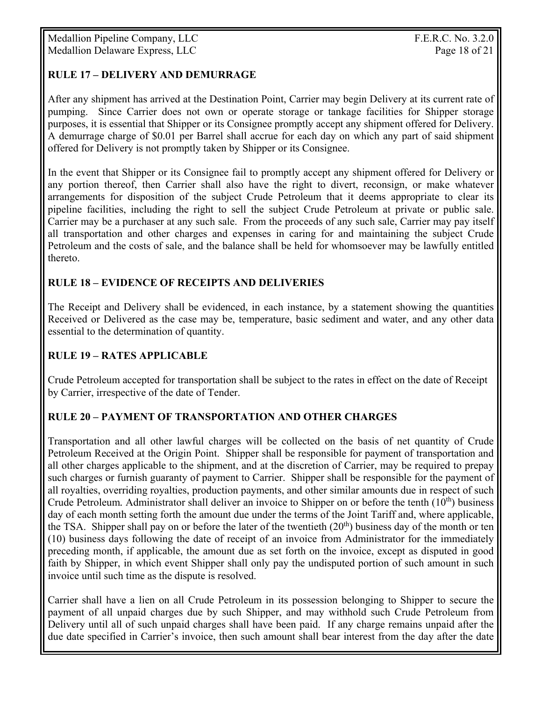#### **RULE 17 – DELIVERY AND DEMURRAGE**

After any shipment has arrived at the Destination Point, Carrier may begin Delivery at its current rate of pumping. Since Carrier does not own or operate storage or tankage facilities for Shipper storage purposes, it is essential that Shipper or its Consignee promptly accept any shipment offered for Delivery. A demurrage charge of \$0.01 per Barrel shall accrue for each day on which any part of said shipment offered for Delivery is not promptly taken by Shipper or its Consignee.

In the event that Shipper or its Consignee fail to promptly accept any shipment offered for Delivery or any portion thereof, then Carrier shall also have the right to divert, reconsign, or make whatever arrangements for disposition of the subject Crude Petroleum that it deems appropriate to clear its pipeline facilities, including the right to sell the subject Crude Petroleum at private or public sale. Carrier may be a purchaser at any such sale. From the proceeds of any such sale, Carrier may pay itself all transportation and other charges and expenses in caring for and maintaining the subject Crude Petroleum and the costs of sale, and the balance shall be held for whomsoever may be lawfully entitled thereto.

#### **RULE 18 – EVIDENCE OF RECEIPTS AND DELIVERIES**

The Receipt and Delivery shall be evidenced, in each instance, by a statement showing the quantities Received or Delivered as the case may be, temperature, basic sediment and water, and any other data essential to the determination of quantity.

#### **RULE 19 – RATES APPLICABLE**

Crude Petroleum accepted for transportation shall be subject to the rates in effect on the date of Receipt by Carrier, irrespective of the date of Tender.

#### **RULE 20 – PAYMENT OF TRANSPORTATION AND OTHER CHARGES**

Transportation and all other lawful charges will be collected on the basis of net quantity of Crude Petroleum Received at the Origin Point. Shipper shall be responsible for payment of transportation and all other charges applicable to the shipment, and at the discretion of Carrier, may be required to prepay such charges or furnish guaranty of payment to Carrier. Shipper shall be responsible for the payment of all royalties, overriding royalties, production payments, and other similar amounts due in respect of such Crude Petroleum. Administrator shall deliver an invoice to Shipper on or before the tenth (10<sup>th</sup>) business day of each month setting forth the amount due under the terms of the Joint Tariff and, where applicable, the TSA. Shipper shall pay on or before the later of the twentieth  $(20<sup>th</sup>)$  business day of the month or ten (10) business days following the date of receipt of an invoice from Administrator for the immediately preceding month, if applicable, the amount due as set forth on the invoice, except as disputed in good faith by Shipper, in which event Shipper shall only pay the undisputed portion of such amount in such invoice until such time as the dispute is resolved.

Carrier shall have a lien on all Crude Petroleum in its possession belonging to Shipper to secure the payment of all unpaid charges due by such Shipper, and may withhold such Crude Petroleum from Delivery until all of such unpaid charges shall have been paid. If any charge remains unpaid after the due date specified in Carrier's invoice, then such amount shall bear interest from the day after the date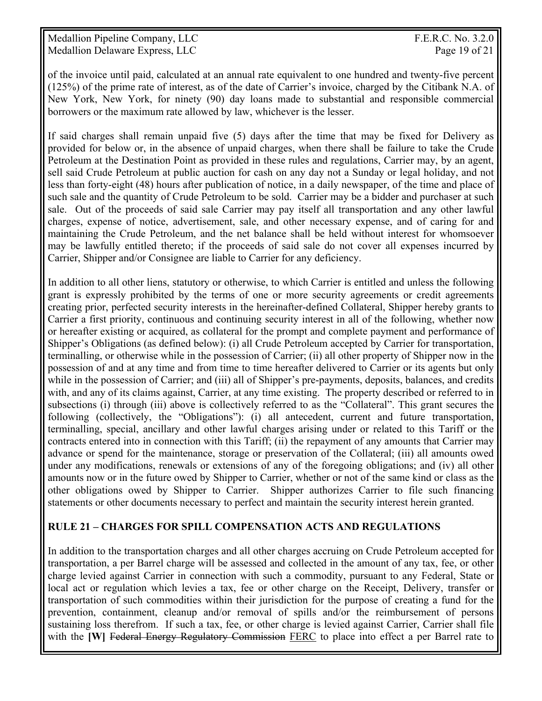Medallion Pipeline Company, LLC F.E.R.C. No. 3.2.0 Medallion Delaware Express, LLC and the contract of the Page 19 of 21

of the invoice until paid, calculated at an annual rate equivalent to one hundred and twenty-five percent (125%) of the prime rate of interest, as of the date of Carrier's invoice, charged by the Citibank N.A. of New York, New York, for ninety (90) day loans made to substantial and responsible commercial borrowers or the maximum rate allowed by law, whichever is the lesser.

If said charges shall remain unpaid five (5) days after the time that may be fixed for Delivery as provided for below or, in the absence of unpaid charges, when there shall be failure to take the Crude Petroleum at the Destination Point as provided in these rules and regulations, Carrier may, by an agent, sell said Crude Petroleum at public auction for cash on any day not a Sunday or legal holiday, and not less than forty-eight (48) hours after publication of notice, in a daily newspaper, of the time and place of such sale and the quantity of Crude Petroleum to be sold. Carrier may be a bidder and purchaser at such sale. Out of the proceeds of said sale Carrier may pay itself all transportation and any other lawful charges, expense of notice, advertisement, sale, and other necessary expense, and of caring for and maintaining the Crude Petroleum, and the net balance shall be held without interest for whomsoever may be lawfully entitled thereto; if the proceeds of said sale do not cover all expenses incurred by Carrier, Shipper and/or Consignee are liable to Carrier for any deficiency.

In addition to all other liens, statutory or otherwise, to which Carrier is entitled and unless the following grant is expressly prohibited by the terms of one or more security agreements or credit agreements creating prior, perfected security interests in the hereinafter-defined Collateral, Shipper hereby grants to Carrier a first priority, continuous and continuing security interest in all of the following, whether now or hereafter existing or acquired, as collateral for the prompt and complete payment and performance of Shipper's Obligations (as defined below): (i) all Crude Petroleum accepted by Carrier for transportation, terminalling, or otherwise while in the possession of Carrier; (ii) all other property of Shipper now in the possession of and at any time and from time to time hereafter delivered to Carrier or its agents but only while in the possession of Carrier; and (iii) all of Shipper's pre-payments, deposits, balances, and credits with, and any of its claims against, Carrier, at any time existing. The property described or referred to in subsections (i) through (iii) above is collectively referred to as the "Collateral". This grant secures the following (collectively, the "Obligations"): (i) all antecedent, current and future transportation, terminalling, special, ancillary and other lawful charges arising under or related to this Tariff or the contracts entered into in connection with this Tariff; (ii) the repayment of any amounts that Carrier may advance or spend for the maintenance, storage or preservation of the Collateral; (iii) all amounts owed under any modifications, renewals or extensions of any of the foregoing obligations; and (iv) all other amounts now or in the future owed by Shipper to Carrier, whether or not of the same kind or class as the other obligations owed by Shipper to Carrier. Shipper authorizes Carrier to file such financing statements or other documents necessary to perfect and maintain the security interest herein granted.

#### **RULE 21 – CHARGES FOR SPILL COMPENSATION ACTS AND REGULATIONS**

In addition to the transportation charges and all other charges accruing on Crude Petroleum accepted for transportation, a per Barrel charge will be assessed and collected in the amount of any tax, fee, or other charge levied against Carrier in connection with such a commodity, pursuant to any Federal, State or local act or regulation which levies a tax, fee or other charge on the Receipt, Delivery, transfer or transportation of such commodities within their jurisdiction for the purpose of creating a fund for the prevention, containment, cleanup and/or removal of spills and/or the reimbursement of persons sustaining loss therefrom. If such a tax, fee, or other charge is levied against Carrier, Carrier shall file with the **[W]** Federal Energy Regulatory Commission FERC to place into effect a per Barrel rate to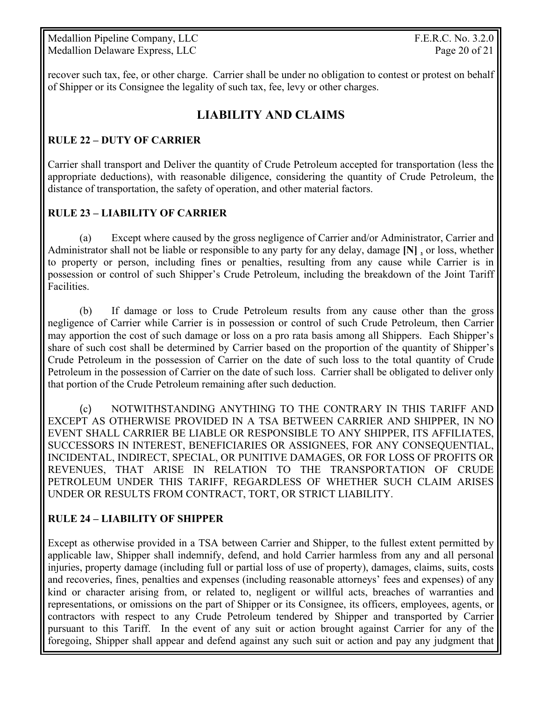Medallion Pipeline Company, LLC F.E.R.C. No. 3.2.0 Medallion Delaware Express, LLC Page 20 of 21

recover such tax, fee, or other charge. Carrier shall be under no obligation to contest or protest on behalf of Shipper or its Consignee the legality of such tax, fee, levy or other charges.

# **LIABILITY AND CLAIMS**

#### **RULE 22 – DUTY OF CARRIER**

Carrier shall transport and Deliver the quantity of Crude Petroleum accepted for transportation (less the appropriate deductions), with reasonable diligence, considering the quantity of Crude Petroleum, the distance of transportation, the safety of operation, and other material factors.

#### **RULE 23 – LIABILITY OF CARRIER**

 (a) Except where caused by the gross negligence of Carrier and/or Administrator, Carrier and Administrator shall not be liable or responsible to any party for any delay, damage **[N]** , or loss, whether to property or person, including fines or penalties, resulting from any cause while Carrier is in possession or control of such Shipper's Crude Petroleum, including the breakdown of the Joint Tariff Facilities.

 (b) If damage or loss to Crude Petroleum results from any cause other than the gross negligence of Carrier while Carrier is in possession or control of such Crude Petroleum, then Carrier may apportion the cost of such damage or loss on a pro rata basis among all Shippers. Each Shipper's share of such cost shall be determined by Carrier based on the proportion of the quantity of Shipper's Crude Petroleum in the possession of Carrier on the date of such loss to the total quantity of Crude Petroleum in the possession of Carrier on the date of such loss. Carrier shall be obligated to deliver only that portion of the Crude Petroleum remaining after such deduction.

 (c) NOTWITHSTANDING ANYTHING TO THE CONTRARY IN THIS TARIFF AND EXCEPT AS OTHERWISE PROVIDED IN A TSA BETWEEN CARRIER AND SHIPPER, IN NO EVENT SHALL CARRIER BE LIABLE OR RESPONSIBLE TO ANY SHIPPER, ITS AFFILIATES, SUCCESSORS IN INTEREST, BENEFICIARIES OR ASSIGNEES, FOR ANY CONSEQUENTIAL, INCIDENTAL, INDIRECT, SPECIAL, OR PUNITIVE DAMAGES, OR FOR LOSS OF PROFITS OR REVENUES, THAT ARISE IN RELATION TO THE TRANSPORTATION OF CRUDE PETROLEUM UNDER THIS TARIFF, REGARDLESS OF WHETHER SUCH CLAIM ARISES UNDER OR RESULTS FROM CONTRACT, TORT, OR STRICT LIABILITY.

#### **RULE 24 – LIABILITY OF SHIPPER**

Except as otherwise provided in a TSA between Carrier and Shipper, to the fullest extent permitted by applicable law, Shipper shall indemnify, defend, and hold Carrier harmless from any and all personal injuries, property damage (including full or partial loss of use of property), damages, claims, suits, costs and recoveries, fines, penalties and expenses (including reasonable attorneys' fees and expenses) of any kind or character arising from, or related to, negligent or willful acts, breaches of warranties and representations, or omissions on the part of Shipper or its Consignee, its officers, employees, agents, or contractors with respect to any Crude Petroleum tendered by Shipper and transported by Carrier pursuant to this Tariff. In the event of any suit or action brought against Carrier for any of the foregoing, Shipper shall appear and defend against any such suit or action and pay any judgment that